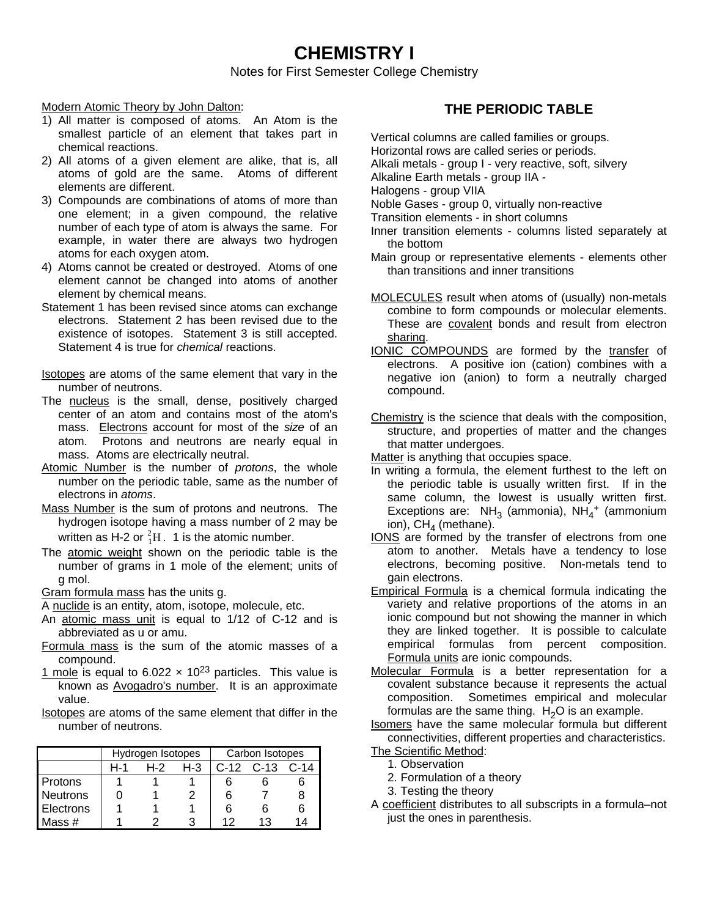# **CHEMISTRY I**

Notes for First Semester College Chemistry

#### Modern Atomic Theory by John Dalton:

- 1) All matter is composed of atoms. An Atom is the smallest particle of an element that takes part in chemical reactions.
- 2) All atoms of a given element are alike, that is, all atoms of gold are the same. Atoms of different elements are different.
- 3) Compounds are combinations of atoms of more than one element; in a given compound, the relative number of each type of atom is always the same. For example, in water there are always two hydrogen atoms for each oxygen atom.
- 4) Atoms cannot be created or destroyed. Atoms of one element cannot be changed into atoms of another element by chemical means.
- Statement 1 has been revised since atoms can exchange electrons. Statement 2 has been revised due to the existence of isotopes. Statement 3 is still accepted. Statement 4 is true for *chemical* reactions.
- Isotopes are atoms of the same element that vary in the number of neutrons.
- The nucleus is the small, dense, positively charged center of an atom and contains most of the atom's mass. Electrons account for most of the *size* of an atom. Protons and neutrons are nearly equal in mass. Atoms are electrically neutral.
- Atomic Number is the number of *protons*, the whole number on the periodic table, same as the number of electrons in *atoms*.
- Mass Number is the sum of protons and neutrons. The hydrogen isotope having a mass number of 2 may be written as H-2 or  ${}^{2}_{1}H$ . 1 is the atomic number.
- The atomic weight shown on the periodic table is the number of grams in 1 mole of the element; units of g mol.

Gram formula mass has the units g.

- A nuclide is an entity, atom, isotope, molecule, etc.
- An atomic mass unit is equal to 1/12 of C-12 and is abbreviated as u or amu.
- Formula mass is the sum of the atomic masses of a compound.
- 1 mole is equal to 6.022  $\times$  10<sup>23</sup> particles. This value is known as Avogadro's number. It is an approximate value.

Isotopes are atoms of the same element that differ in the number of neutrons.

|                  |     | Hydrogen Isotopes |         | Carbon Isotopes |               |      |  |
|------------------|-----|-------------------|---------|-----------------|---------------|------|--|
|                  | H-1 | H-2               | $H - 3$ |                 | $C-12$ $C-13$ | C-14 |  |
| <b>Protons</b>   |     |                   |         | 6               | h             |      |  |
| <b>Neutrons</b>  |     |                   |         | 6               |               | 8    |  |
| <b>Electrons</b> |     |                   |         | 6               | 6             | 6    |  |
| Mass $#$         |     |                   |         | 12              | 13.           | 14   |  |

## **THE PERIODIC TABLE**

Vertical columns are called families or groups.

Horizontal rows are called series or periods.

Alkali metals - group I - very reactive, soft, silvery

Alkaline Earth metals - group IIA -

Halogens - group VIIA

Noble Gases - group 0, virtually non-reactive

Transition elements - in short columns

- Inner transition elements columns listed separately at the bottom
- Main group or representative elements elements other than transitions and inner transitions
- MOLECULES result when atoms of (usually) non-metals combine to form compounds or molecular elements. These are covalent bonds and result from electron sharing.
- IONIC COMPOUNDS are formed by the transfer of electrons. A positive ion (cation) combines with a negative ion (anion) to form a neutrally charged compound.
- Chemistry is the science that deals with the composition, structure, and properties of matter and the changes that matter undergoes.

Matter is anything that occupies space.

- In writing a formula, the element furthest to the left on the periodic table is usually written first. If in the same column, the lowest is usually written first. Exceptions are:  $NH_3$  (ammonia),  $NH_4^+$  (ammonium ion),  $CH_4$  (methane).
- IONS are formed by the transfer of electrons from one atom to another. Metals have a tendency to lose electrons, becoming positive. Non-metals tend to gain electrons.
- Empirical Formula is a chemical formula indicating the variety and relative proportions of the atoms in an ionic compound but not showing the manner in which they are linked together. It is possible to calculate empirical formulas from percent composition. Formula units are ionic compounds.
- Molecular Formula is a better representation for a covalent substance because it represents the actual composition. Sometimes empirical and molecular formulas are the same thing.  $H<sub>2</sub>O$  is an example.

Isomers have the same molecular formula but different connectivities, different properties and characteristics.

The Scientific Method:

1. Observation

2. Formulation of a theory

- 3. Testing the theory
- A coefficient distributes to all subscripts in a formula–not just the ones in parenthesis.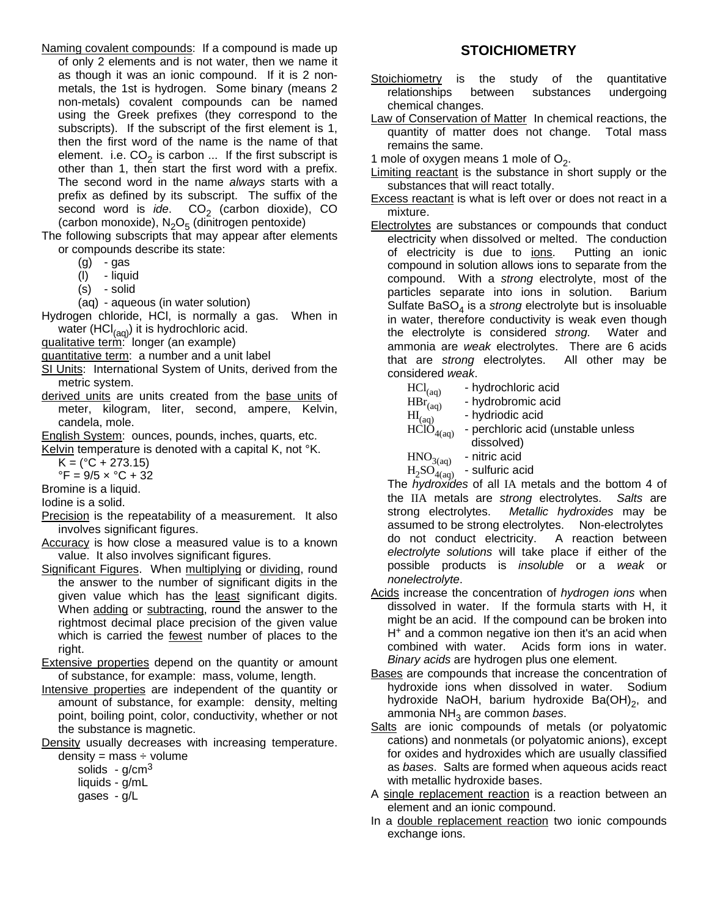Naming covalent compounds: If a compound is made up of only 2 elements and is not water, then we name it as though it was an ionic compound. If it is 2 nonmetals, the 1st is hydrogen. Some binary (means 2 non-metals) covalent compounds can be named using the Greek prefixes (they correspond to the subscripts). If the subscript of the first element is 1, then the first word of the name is the name of that element. i.e.  $CO_2$  is carbon ... If the first subscript is other than 1, then start the first word with a prefix. The second word in the name *always* starts with a prefix as defined by its subscript. The suffix of the second word is *ide*. CO<sub>2</sub> (carbon dioxide), CO (carbon monoxide),  $N_2O_5$  (dinitrogen pentoxide)

The following subscripts that may appear after elements or compounds describe its state:

 $(g) - gas$ 

- (l) liquid
- (s) solid

(aq) - aqueous (in water solution)

Hydrogen chloride, HCl, is normally a gas. When in water (HCl $_{(aq)}$ ) it is hydrochloric acid.

qualitative term: longer (an example)

- quantitative term: a number and a unit label
- SI Units: International System of Units, derived from the metric system.
- derived units are units created from the base units of meter, kilogram, liter, second, ampere, Kelvin, candela, mole.
- English System: ounces, pounds, inches, quarts, etc.
- Kelvin temperature is denoted with a capital K, not °K.

 $K = (°C + 273.15)$ 

 ${}^{\circ}$ F = 9/5 x  ${}^{\circ}$ C + 32

- Bromine is a liquid.
- Iodine is a solid.
- Precision is the repeatability of a measurement. It also involves significant figures.
- Accuracy is how close a measured value is to a known value. It also involves significant figures.
- Significant Figures. When multiplying or dividing, round the answer to the number of significant digits in the given value which has the least significant digits. When adding or subtracting, round the answer to the rightmost decimal place precision of the given value which is carried the fewest number of places to the right.
- Extensive properties depend on the quantity or amount of substance, for example: mass, volume, length.
- Intensive properties are independent of the quantity or amount of substance, for example: density, melting point, boiling point, color, conductivity, whether or not the substance is magnetic.

Density usually decreases with increasing temperature.  $density = mass \div volume$ 

| isity = mass ÷ vo |                     |  |
|-------------------|---------------------|--|
| solids            | - g/cm <sup>3</sup> |  |

- liquids g/mL
- gases g/L

#### **STOICHIOMETRY**

- Stoichiometry is the study of the quantitative relationships between substances undergoing chemical changes.
- Law of Conservation of Matter In chemical reactions, the quantity of matter does not change. Total mass remains the same.
- 1 mole of oxygen means 1 mole of  $O_2$ .
- **Limiting reactant** is the substance in short supply or the substances that will react totally.
- Excess reactant is what is left over or does not react in a mixture.
- Electrolytes are substances or compounds that conduct electricity when dissolved or melted. The conduction of electricity is due to ions. Putting an ionic compound in solution allows ions to separate from the compound. With a *strong* electrolyte, most of the particles separate into ions in solution. Barium Sulfate BaSO<sub>4</sub> is a *strong* electrolyte but is insoluable in water, therefore conductivity is weak even though the electrolyte is considered *strong.* Water and ammonia are *weak* electrolytes. There are 6 acids that are *strong* electrolytes. All other may be considered *weak*.

| $\text{HCl}_{\text{(aq)}}$ | - hydrochloric acid |  |
|----------------------------|---------------------|--|
|                            |                     |  |

- $\text{HBr}^{(eq)}_{(aq)}$  hydrobromic acid<br> $\text{H}^{(aq)}$  hydriodic acid
	- hydriodic acid
- $\overrightarrow{HCIO}_{4(aq)}$  perchloric acid (unstable unless dissolved)
- $HNO<sub>3(aq)</sub>$  nitric acid
- $H_2SO_{4(aq)}$  sulfuric acid

The *hydroxides* of all IA metals and the bottom 4 of the IIA metals are *strong* electrolytes. *Salts* are strong electrolytes. *Metallic hydroxides* may be assumed to be strong electrolytes. Non-electrolytes do not conduct electricity. A reaction between *electrolyte solutions* will take place if either of the possible products is *insoluble* or a *weak* or *nonelectrolyte*.

- Acids increase the concentration of *hydrogen ions* when dissolved in water. If the formula starts with H, it might be an acid. If the compound can be broken into  $H<sup>+</sup>$  and a common negative ion then it's an acid when combined with water. Acids form ions in water. *Binary acids* are hydrogen plus one element.
- **Bases** are compounds that increase the concentration of hydroxide ions when dissolved in water. Sodium hydroxide NaOH, barium hydroxide  $Ba(OH)_{2}$ , and ammonia NH<sub>3</sub> are common *bases*.
- Salts are ionic compounds of metals (or polyatomic cations) and nonmetals (or polyatomic anions), except for oxides and hydroxides which are usually classified as *bases*. Salts are formed when aqueous acids react with metallic hydroxide bases.
- A single replacement reaction is a reaction between an element and an ionic compound.
- In a double replacement reaction two ionic compounds exchange ions.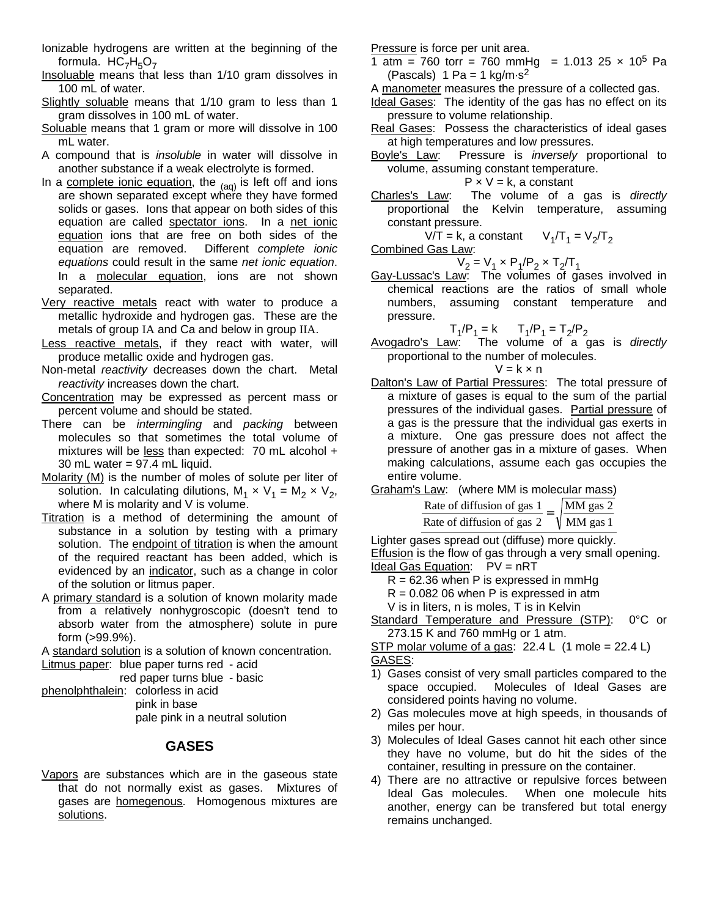- Ionizable hydrogens are written at the beginning of the formula.  $HC_7H_5O_7$
- Insoluable means that less than 1/10 gram dissolves in 100 mL of water.
- Slightly soluable means that 1/10 gram to less than 1 gram dissolves in 100 mL of water.
- Soluable means that 1 gram or more will dissolve in 100 mL water.
- A compound that is *insoluble* in water will dissolve in another substance if a weak electrolyte is formed.
- In a complete ionic equation, the  $_{(aq)}$  is left off and ions are shown separated except where they have formed solids or gases. Ions that appear on both sides of this equation are called spectator ions. In a net ionic equation ions that are free on both sides of the equation are removed. Different *complete ionic equations* could result in the same *net ionic equation*. In a molecular equation, ions are not shown separated.
- Very reactive metals react with water to produce a metallic hydroxide and hydrogen gas. These are the metals of group IA and Ca and below in group IIA.
- Less reactive metals, if they react with water, will produce metallic oxide and hydrogen gas.
- Non-metal *reactivity* decreases down the chart. Metal *reactivity* increases down the chart.
- Concentration may be expressed as percent mass or percent volume and should be stated.
- There can be *intermingling* and *packing* between molecules so that sometimes the total volume of mixtures will be less than expected: 70 mL alcohol + 30 mL water = 97.4 mL liquid.
- Molarity (M) is the number of moles of solute per liter of solution. In calculating dilutions,  $M_1 \times V_1 = M_2 \times V_2$ , where M is molarity and V is volume.
- Titration is a method of determining the amount of substance in a solution by testing with a primary solution. The endpoint of titration is when the amount of the required reactant has been added, which is evidenced by an indicator, such as a change in color of the solution or litmus paper.
- A primary standard is a solution of known molarity made from a relatively nonhygroscopic (doesn't tend to absorb water from the atmosphere) solute in pure form (>99.9%).

A standard solution is a solution of known concentration.

Litmus paper: blue paper turns red - acid

- red paper turns blue basic
- phenolphthalein: colorless in acid pink in base pale pink in a neutral solution

### **GASES**

Vapors are substances which are in the gaseous state that do not normally exist as gases. Mixtures of gases are homegenous. Homogenous mixtures are solutions.

Pressure is force per unit area.

- 1 atm = 760 torr = 760 mmHg = 1.013 25  $\times$  10<sup>5</sup> Pa (Pascals)  $1$  Pa =  $1$  kg/m $\cdot$ s<sup>2</sup>
- A manometer measures the pressure of a collected gas.

Ideal Gases: The identity of the gas has no effect on its pressure to volume relationship.

- Real Gases: Possess the characteristics of ideal gases at high temperatures and low pressures.
- Boyle's Law: Pressure is *inversely* proportional to volume, assuming constant temperature.

$$
P \times V = k
$$
, a constant

Charles's Law: The volume of a gas is *directly* proportional the Kelvin temperature, assuming constant pressure.

 $V/T = k$ , a constant  $V_1/T_1 = V_2/T_2$ 

Combined Gas Law:

$$
V_2 = V_1 \times P_1/P_2 \times T_2/T_1
$$

Gay-Lussac's Law: The volumes of gases involved in chemical reactions are the ratios of small whole numbers, assuming constant temperature and pressure.

 $T_1/P_1 = k$   $T_1/P_1 = T_2/P_2$ 

Avogadro's Law: The volume of a gas is *directly* proportional to the number of molecules.

$$
V = k \times n
$$

- Dalton's Law of Partial Pressures: The total pressure of a mixture of gases is equal to the sum of the partial pressures of the individual gases. Partial pressure of a gas is the pressure that the individual gas exerts in a mixture. One gas pressure does not affect the pressure of another gas in a mixture of gases. When making calculations, assume each gas occupies the entire volume.
- Graham's Law: (where MM is molecular mass)

| Rate of diffusion of gas 1 | MM gas 2              |
|----------------------------|-----------------------|
| Rate of diffusion of gas 2 | $\sqrt{\rm MM}$ gas 1 |

Lighter gases spread out (diffuse) more quickly. Effusion is the flow of gas through a very small opening. Ideal Gas Equation: PV = nRT

- $R = 62.36$  when P is expressed in mmHg
- $R = 0.082$  06 when P is expressed in atm

V is in liters, n is moles, T is in Kelvin

- Standard Temperature and Pressure (STP): 0°C or 273.15 K and 760 mmHg or 1 atm.
- STP molar volume of a gas:  $22.4 \text{ L}$  (1 mole = 22.4 L) GASES:
- 1) Gases consist of very small particles compared to the space occupied. Molecules of Ideal Gases are considered points having no volume.
- 2) Gas molecules move at high speeds, in thousands of miles per hour.
- 3) Molecules of Ideal Gases cannot hit each other since they have no volume, but do hit the sides of the container, resulting in pressure on the container.
- 4) There are no attractive or repulsive forces between Ideal Gas molecules. When one molecule hits another, energy can be transfered but total energy remains unchanged.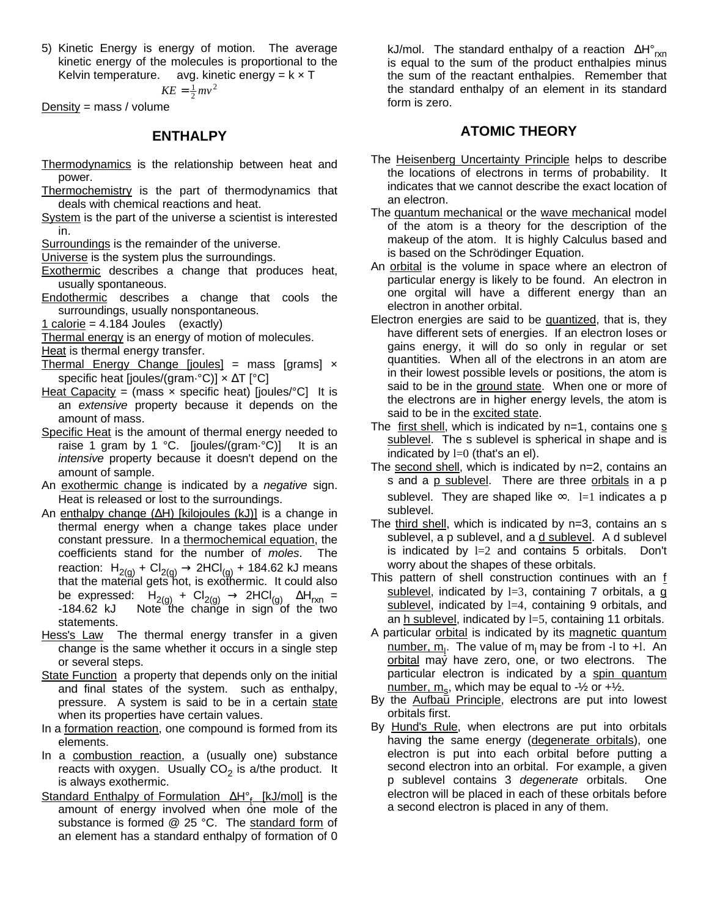5) Kinetic Energy is energy of motion. The average kinetic energy of the molecules is proportional to the Kelvin temperature. avg. kinetic energy =  $k \times T$ 

2

$$
KE = \frac{1}{2}mv
$$

 $Density = mass / volume$ 

#### **ENTHALPY**

- Thermodynamics is the relationship between heat and power.
- Thermochemistry is the part of thermodynamics that deals with chemical reactions and heat.
- System is the part of the universe a scientist is interested in.

Surroundings is the remainder of the universe.

Universe is the system plus the surroundings.

- Exothermic describes a change that produces heat, usually spontaneous.
- Endothermic describes a change that cools the surroundings, usually nonspontaneous.

1 calorie =  $4.184$  Joules (exactly)

Thermal energy is an energy of motion of molecules.

- Heat is thermal energy transfer.
- Thermal Energy Change  $[joules] =$  mass  $[grams] \times$ specific heat [joules/(gram·°C)] × ΔT [°C]
- Heat Capacity = (mass  $\times$  specific heat) [joules/°C] It is an *extensive* property because it depends on the amount of mass.
- Specific Heat is the amount of thermal energy needed to raise 1 gram by 1 °C. [joules/(gram·°C)] It is an *intensive* property because it doesn't depend on the amount of sample.
- An exothermic change is indicated by a *negative* sign. Heat is released or lost to the surroundings.
- An enthalpy change (ΔH) [kilojoules (kJ)] is a change in thermal energy when a change takes place under constant pressure. In a thermochemical equation, the coefficients stand for the number of *moles*. The reaction:  $H_{2(g)}$  + Cl<sub>2(g)</sub>  $\rightarrow$  2HCl<sub>(g)</sub> + 184.62 kJ means that the material gets hot, is exothermic. It could also be expressed:  $H_{2(g)} + Cl_{2(g)} \rightarrow 2HCl_{(g)} \Delta H_{rxn} = -184.62$  kJ Note the change in sign of the two Note the change in sign of the two statements.
- Hess's Law The thermal energy transfer in a given change is the same whether it occurs in a single step or several steps.
- State Function a property that depends only on the initial and final states of the system. such as enthalpy, pressure. A system is said to be in a certain state when its properties have certain values.
- In a formation reaction, one compound is formed from its elements.
- In a combustion reaction, a (usually one) substance reacts with oxygen. Usually CO<sub>2</sub> is a/the product. It is always exothermic.
- Standard Enthalpy of Formulation ΔH°<sub>f</sub> [kJ/mol] is the amount of energy involved when one mole of the substance is formed @ 25 °C. The standard form of an element has a standard enthalpy of formation of 0

kJ/mol. The standard enthalpy of a reaction  $\Delta H^{\circ}_{rxn}$ is equal to the sum of the product enthalpies minus the sum of the reactant enthalpies. Remember that the standard enthalpy of an element in its standard form is zero.

#### **ATOMIC THEORY**

- The Heisenberg Uncertainty Principle helps to describe the locations of electrons in terms of probability. It indicates that we cannot describe the exact location of an electron.
- The quantum mechanical or the wave mechanical model of the atom is a theory for the description of the makeup of the atom. It is highly Calculus based and is based on the Schrödinger Equation.
- An orbital is the volume in space where an electron of particular energy is likely to be found. An electron in one orgital will have a different energy than an electron in another orbital.
- Electron energies are said to be quantized, that is, they have different sets of energies. If an electron loses or gains energy, it will do so only in regular or set quantities. When all of the electrons in an atom are in their lowest possible levels or positions, the atom is said to be in the ground state. When one or more of the electrons are in higher energy levels, the atom is said to be in the excited state.
- The first shell, which is indicated by  $n=1$ , contains one  $s$ sublevel. The s sublevel is spherical in shape and is indicated by  $l=0$  (that's an el).
- The second shell, which is indicated by n=2, contains an s and a p sublevel. There are three orbitals in a p sublevel. They are shaped like  $\infty$ . l=1 indicates a p sublevel.
- The third shell, which is indicated by n=3, contains an s sublevel, a p sublevel, and a d sublevel. A d sublevel is indicated by  $l=2$  and contains 5 orbitals. Don't worry about the shapes of these orbitals.
- This pattern of shell construction continues with an f sublevel, indicated by  $l=3$ , containing 7 orbitals, a  $q$ sublevel, indicated by 1=4, containing 9 orbitals, and an h sublevel, indicated by  $l=5$ , containing 11 orbitals.
- A particular orbital is indicated by its magnetic quantum <u>number, m<sub>l</sub></u>. The value of m<sub>l</sub> may be from -l to +l. An orbital may have zero, one, or two electrons. The particular electron is indicated by a spin quantum <u>number, m<sub>s</sub></u>, which may be equal to -½ or +½.
- By the Aufbau Principle, electrons are put into lowest orbitals first.
- By Hund's Rule, when electrons are put into orbitals having the same energy (degenerate orbitals), one electron is put into each orbital before putting a second electron into an orbital. For example, a given p sublevel contains 3 *degenerate* orbitals. One electron will be placed in each of these orbitals before a second electron is placed in any of them.